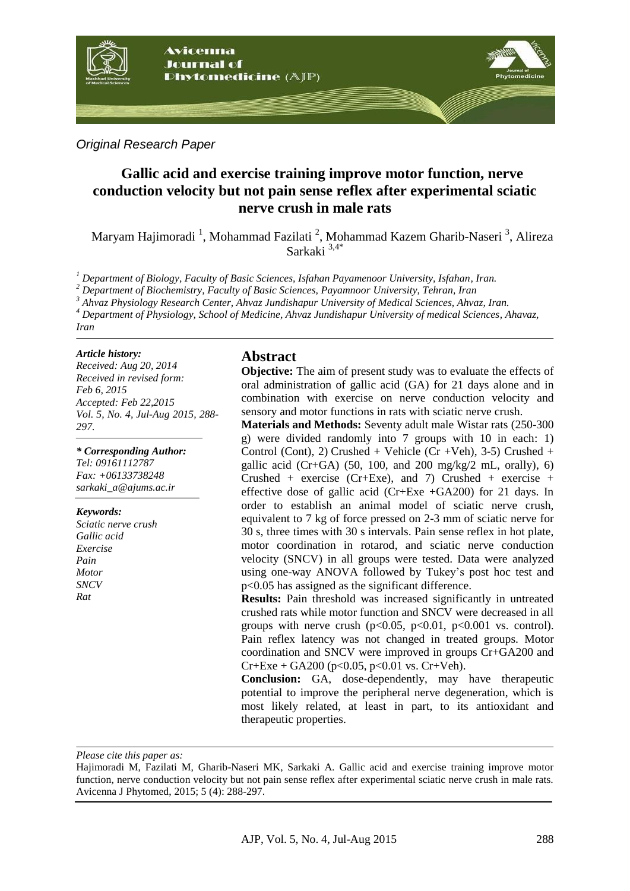

*Original Research Paper*

# **Gallic acid and exercise training improve motor function, nerve conduction velocity but not pain sense reflex after experimental sciatic nerve crush in male rats**

Maryam Hajimoradi<sup>1</sup>, Mohammad Fazilati<sup>2</sup>, Mohammad Kazem Gharib-Naseri<sup>3</sup>, Alireza Sarkaki 3,4\*

*<sup>1</sup> Department of Biology, Faculty of Basic Sciences, Isfahan Payamenoor University, Isfahan, Iran.*

*<sup>2</sup> Department of Biochemistry, Faculty of Basic Sciences, Payamnoor University, Tehran, Iran*

*<sup>3</sup> Ahvaz Physiology Research Center, Ahvaz Jundishapur University of Medical Sciences, Ahvaz, Iran.*

*<sup>4</sup> Department of Physiology, School of Medicine, Ahvaz Jundishapur University of medical Sciences, Ahavaz,* 

*Iran*

#### *Article history:*

*Received: Aug 20, 2014 Received in revised form: Feb 6, 2015 Accepted: Feb 22,2015 Vol. 5, No. 4, Jul-Aug 2015, 288- 297.*

*\* Corresponding Author: Tel: 09161112787 Fax: +06133738248 sarkaki\_a@ajums.ac.ir*

#### *Keywords:*

*Sciatic nerve crush Gallic acid Exercise Pain Motor SNCV Rat*

# **Abstract**

**Objective:** The aim of present study was to evaluate the effects of oral administration of gallic acid (GA) for 21 days alone and in combination with exercise on nerve conduction velocity and sensory and motor functions in rats with sciatic nerve crush.

**Materials and Methods:** Seventy adult male Wistar rats (250-300 g) were divided randomly into 7 groups with 10 in each: 1) Control (Cont), 2) Crushed + Vehicle (Cr +Veh), 3-5) Crushed + gallic acid (Cr+GA) (50, 100, and 200 mg/kg/2 mL, orally), 6) Crushed + exercise (Cr+Exe), and 7) Crushed + exercise + effective dose of gallic acid (Cr+Exe +GA200) for 21 days. In order to establish an animal model of sciatic nerve crush, equivalent to 7 kg of force pressed on 2-3 mm of sciatic nerve for 30 s, three times with 30 s intervals. Pain sense reflex in hot plate, motor coordination in rotarod, and sciatic nerve conduction velocity (SNCV) in all groups were tested. Data were analyzed using one-way ANOVA followed by Tukey's post hoc test and p<0.05 has assigned as the significant difference.

**Results:** Pain threshold was increased significantly in untreated crushed rats while motor function and SNCV were decreased in all groups with nerve crush ( $p<0.05$ ,  $p<0.01$ ,  $p<0.001$  vs. control). Pain reflex latency was not changed in treated groups. Motor coordination and SNCV were improved in groups Cr+GA200 and  $Cr+Exe + GA200 (p<0.05, p<0.01$  vs.  $Cr+Veh$ ).

**Conclusion:** GA, dose-dependently, may have therapeutic potential to improve the peripheral nerve degeneration, which is most likely related, at least in part, to its antioxidant and therapeutic properties.

*Please cite this paper as:*

Hajimoradi M, Fazilati M, Gharib-Naseri MK, Sarkaki A. Gallic acid and exercise training improve motor function, nerve conduction velocity but not pain sense reflex after experimental sciatic nerve crush in male rats. Avicenna J Phytomed, 2015; 5 (4): 288-297.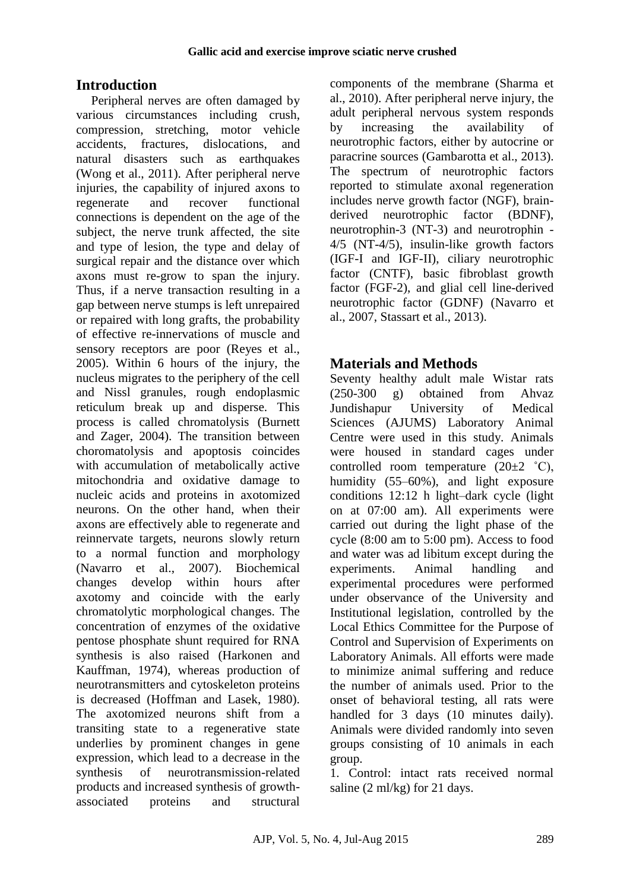# **Introduction**

Peripheral nerves are often damaged by various circumstances including crush, compression, stretching, motor vehicle accidents, fractures, dislocations, and natural disasters such as earthquakes [\(Wong et al., 2011\)](#page-8-0). After peripheral nerve injuries, the capability of injured axons to regenerate and recover functional connections is dependent on the age of the subject, the nerve trunk affected, the site and type of lesion, the type and delay of surgical repair and the distance over which axons must re-grow to span the injury. Thus, if a nerve transaction resulting in a gap between nerve stumps is left unrepaired or repaired with long grafts, the probability of effective re-innervations of muscle and sensory receptors are poor [\(Reyes et al.,](#page-8-1)  [2005\)](#page-8-1). Within 6 hours of the injury, the nucleus migrates to the periphery of the cell and Nissl granules, rough endoplasmic reticulum break up and disperse. This process is called chromatolysis [\(Burnett](#page-7-0)  [and Zager, 2004\)](#page-7-0). The transition between choromatolysis and apoptosis coincides with accumulation of metabolically active mitochondria and oxidative damage to nucleic acids and proteins in axotomized neurons. On the other hand, when their axons are effectively able to regenerate and reinnervate targets, neurons slowly return to a normal function and morphology [\(Navarro et al., 2007\)](#page-8-2). Biochemical changes develop within hours after axotomy and coincide with the early chromatolytic morphological changes. The concentration of enzymes of the oxidative pentose phosphate shunt required for RNA synthesis is also raised [\(Harkonen and](#page-7-1)  [Kauffman, 1974\)](#page-7-1), whereas production of neurotransmitters and cytoskeleton proteins is decreased [\(Hoffman and Lasek, 1980\)](#page-7-2). The axotomized neurons shift from a transiting state to a regenerative state underlies by prominent changes in gene expression, which lead to a decrease in the synthesis of neurotransmission-related products and increased synthesis of growthassociated proteins and structural

components of the membrane [\(Sharma et](#page-8-3)  [al., 2010\)](#page-8-3). After peripheral nerve injury, the adult peripheral nervous system responds by increasing the availability of neurotrophic factors, either by autocrine or paracrine sources [\(Gambarotta et al., 2013\)](#page-7-3). The spectrum of neurotrophic factors reported to stimulate axonal regeneration includes nerve growth factor (NGF), brainderived neurotrophic factor (BDNF), neurotrophin-3 (NT-3) and neurotrophin - 4/5 (NT-4/5), insulin-like growth factors (IGF-I and IGF-II), ciliary neurotrophic factor (CNTF), basic fibroblast growth factor (FGF-2), and glial cell line-derived neurotrophic factor (GDNF) [\(Navarro et](#page-8-2)  [al., 2007,](#page-8-2) [Stassart et al., 2013\)](#page-8-4).

# **Materials and Methods**

Seventy healthy adult male Wistar rats (250-300 g) obtained from Ahvaz Jundishapur University of Medical Sciences (AJUMS) Laboratory Animal Centre were used in this study. Animals were housed in standard cages under controlled room temperature  $(20\pm 2 \degree C)$ , humidity (55–60%), and light exposure conditions 12:12 h light–dark cycle (light on at 07:00 am). All experiments were carried out during the light phase of the cycle (8:00 am to 5:00 pm). Access to food and water was ad libitum except during the experiments. Animal handling and experimental procedures were performed under observance of the University and Institutional legislation, controlled by the Local Ethics Committee for the Purpose of Control and Supervision of Experiments on Laboratory Animals. All efforts were made to minimize animal suffering and reduce the number of animals used. Prior to the onset of behavioral testing, all rats were handled for 3 days (10 minutes daily). Animals were divided randomly into seven groups consisting of 10 animals in each group.

1. Control: intact rats received normal saline (2 ml/kg) for 21 days.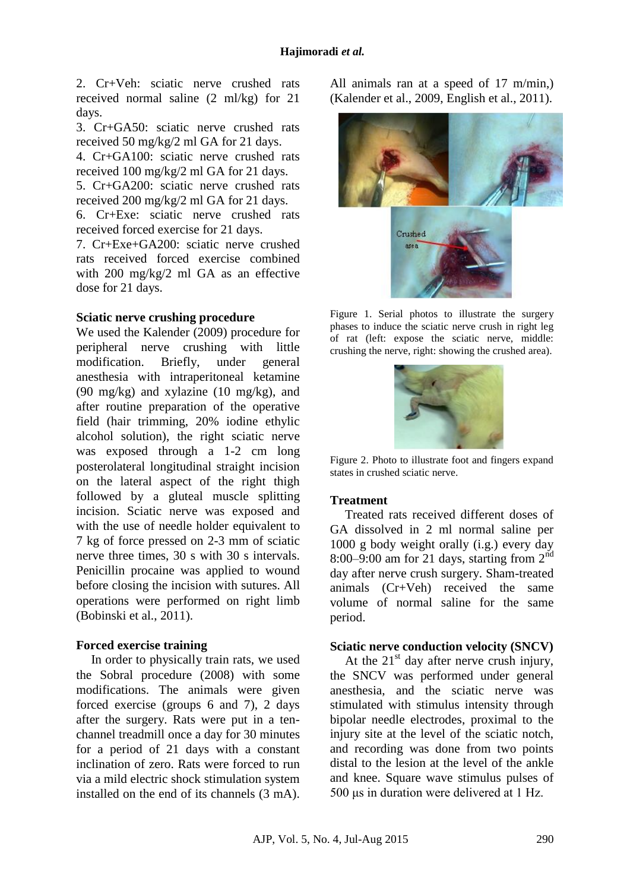2. Cr+Veh: sciatic nerve crushed rats received normal saline (2 ml/kg) for 21 days.

3. Cr+GA50: sciatic nerve crushed rats received 50 mg/kg/2 ml GA for 21 days.

4. Cr+GA100: sciatic nerve crushed rats received 100 mg/kg/2 ml GA for 21 days.

5. Cr+GA200: sciatic nerve crushed rats received 200 mg/kg/2 ml GA for 21 days.

6. Cr+Exe: sciatic nerve crushed rats received forced exercise for 21 days.

7. Cr+Exe+GA200: sciatic nerve crushed rats received forced exercise combined with 200 mg/kg/2 ml GA as an effective dose for 21 days.

## **Sciatic nerve crushing procedure**

We used the Kalender (2009) procedure for peripheral nerve crushing with little modification. Briefly, under general anesthesia with intraperitoneal ketamine (90 mg/kg) and xylazine (10 mg/kg), and after routine preparation of the operative field (hair trimming, 20% iodine ethylic alcohol solution), the right sciatic nerve was exposed through a 1-2 cm long posterolateral longitudinal straight incision on the lateral aspect of the right thigh followed by a gluteal muscle splitting incision. Sciatic nerve was exposed and with the use of needle holder equivalent to 7 kg of force pressed on 2-3 mm of sciatic nerve three times, 30 s with 30 s intervals. Penicillin procaine was applied to wound before closing the incision with sutures. All operations were performed on right limb [\(Bobinski et al., 2011\)](#page-7-4).

## **Forced exercise training**

In order to physically train rats, we used the Sobral procedure (2008) with some modifications. The animals were given forced exercise (groups 6 and 7), 2 days after the surgery. Rats were put in a tenchannel treadmill once a day for 30 minutes for a period of 21 days with a constant inclination of zero. Rats were forced to run via a mild electric shock stimulation system installed on the end of its channels (3 mA). All animals ran at a speed of 17 m/min,) [\(Kalender et al., 2009,](#page-7-5) [English et al., 2011\)](#page-7-6).



Figure 1. Serial photos to illustrate the surgery phases to induce the sciatic nerve crush in right leg of rat (left: expose the sciatic nerve, middle: crushing the nerve, right: showing the crushed area).



Figure 2. Photo to illustrate foot and fingers expand states in crushed sciatic nerve.

## **Treatment**

Treated rats received different doses of GA dissolved in 2 ml normal saline per 1000 g body weight orally (i.g.) every day 8:00–9:00 am for 21 days, starting from  $2<sup>nd</sup>$ day after nerve crush surgery. Sham-treated animals (Cr+Veh) received the same volume of normal saline for the same period.

### **Sciatic nerve conduction velocity (SNCV)**

At the  $21<sup>st</sup>$  day after nerve crush injury, the SNCV was performed under general anesthesia, and the sciatic nerve was stimulated with stimulus intensity through bipolar needle electrodes, proximal to the injury site at the level of the sciatic notch, and recording was done from two points distal to the lesion at the level of the ankle and knee. Square wave stimulus pulses of 500 μs in duration were delivered at 1 Hz.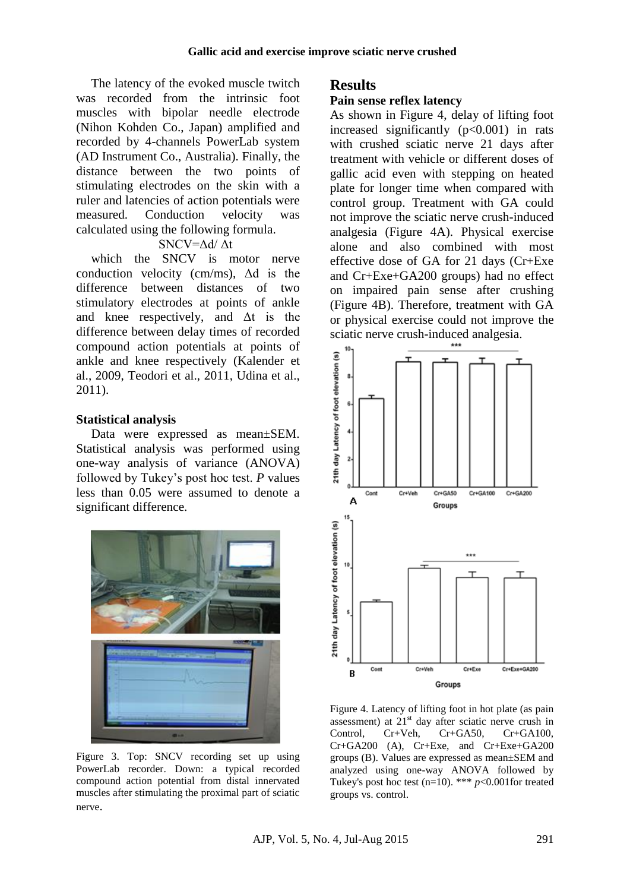The latency of the evoked muscle twitch was recorded from the intrinsic foot muscles with bipolar needle electrode (Nihon Kohden Co., Japan) amplified and recorded by 4-channels PowerLab system (AD Instrument Co., Australia). Finally, the distance between the two points of stimulating electrodes on the skin with a ruler and latencies of action potentials were measured. Conduction velocity was calculated using the following formula.

### SNCV=Δd/ Δt

which the SNCV is motor nerve conduction velocity (cm/ms), Δd is the difference between distances of two stimulatory electrodes at points of ankle and knee respectively, and  $\Delta t$  is the difference between delay times of recorded compound action potentials at points of ankle and knee respectively [\(Kalender et](#page-7-5)  [al., 2009,](#page-7-5) [Teodori et al., 2011,](#page-8-5) [Udina et al.,](#page-8-6)  [2011\)](#page-8-6).

### **Statistical analysis**

Data were expressed as mean±SEM. Statistical analysis was performed using one-way analysis of variance (ANOVA) followed by Tukey's post hoc test. *P* values less than 0.05 were assumed to denote a significant difference.



Figure 3. Top: SNCV recording set up using PowerLab recorder. Down: a typical recorded compound action potential from distal innervated muscles after stimulating the proximal part of sciatic nerve.

# **Results**

#### **Pain sense reflex latency**

As shown in Figure 4, delay of lifting foot increased significantly  $(p<0.001)$  in rats with crushed sciatic nerve 21 days after treatment with vehicle or different doses of gallic acid even with stepping on heated plate for longer time when compared with control group. Treatment with GA could not improve the sciatic nerve crush-induced analgesia (Figure 4A). Physical exercise alone and also combined with most effective dose of GA for 21 days (Cr+Exe and Cr+Exe+GA200 groups) had no effect on impaired pain sense after crushing (Figure 4B). Therefore, treatment with GA or physical exercise could not improve the sciatic nerve crush-induced analgesia.



Figure 4. Latency of lifting foot in hot plate (as pain assessment) at  $21<sup>st</sup>$  day after sciatic nerve crush in Control, Cr+Veh, Cr+GA50, Cr+GA100, Cr+GA200 (A), Cr+Exe, and Cr+Exe+GA200 groups (B). Values are expressed as mean±SEM and analyzed using one-way ANOVA followed by Tukey's post hoc test  $(n=10)$ . \*\*\* *p*<0.001for treated groups vs. control.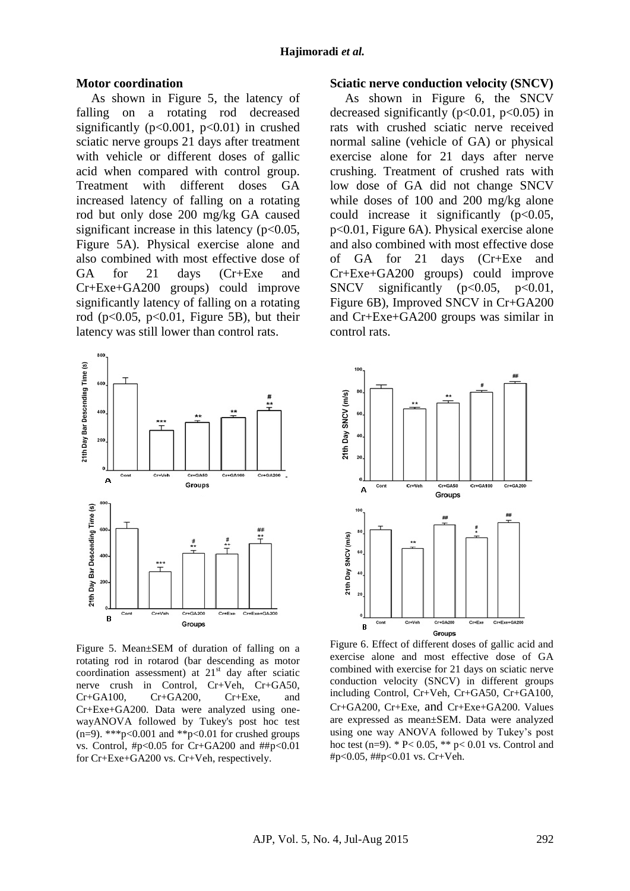#### **Motor coordination**

As shown in Figure 5, the latency of falling on a rotating rod decreased significantly ( $p<0.001$ ,  $p<0.01$ ) in crushed sciatic nerve groups 21 days after treatment with vehicle or different doses of gallic acid when compared with control group. Treatment with different doses GA increased latency of falling on a rotating rod but only dose 200 mg/kg GA caused significant increase in this latency  $(p<0.05$ , Figure 5A). Physical exercise alone and also combined with most effective dose of GA for 21 days (Cr+Exe and Cr+Exe+GA200 groups) could improve significantly latency of falling on a rotating rod ( $p<0.05$ ,  $p<0.01$ , Figure 5B), but their latency was still lower than control rats.



Figure 5. Mean±SEM of duration of falling on a rotating rod in rotarod (bar descending as motor coordination assessment) at  $21<sup>st</sup>$  day after sciatic nerve crush in Control, Cr+Veh, Cr+GA50, Cr+GA100, Cr+GA200, Cr+Exe, and Cr+Exe+GA200. Data were analyzed using onewayANOVA followed by Tukey's post hoc test (n=9). \*\*\*p<0.001 and \*\*p<0.01 for crushed groups vs. Control, #p<0.05 for Cr+GA200 and ##p<0.01 for Cr+Exe+GA200 vs. Cr+Veh, respectively.

### **Sciatic nerve conduction velocity (SNCV)**

As shown in Figure 6, the SNCV decreased significantly  $(p<0.01, p<0.05)$  in rats with crushed sciatic nerve received normal saline (vehicle of GA) or physical exercise alone for 21 days after nerve crushing. Treatment of crushed rats with low dose of GA did not change SNCV while doses of 100 and 200 mg/kg alone could increase it significantly  $(p<0.05$ , p<0.01, Figure 6A). Physical exercise alone and also combined with most effective dose of GA for 21 days (Cr+Exe and Cr+Exe+GA200 groups) could improve SNCV significantly  $(p<0.05, p<0.01,$ Figure 6B), Improved SNCV in Cr+GA200 and Cr+Exe+GA200 groups was similar in control rats.



Figure 6. Effect of different doses of gallic acid and exercise alone and most effective dose of GA combined with exercise for 21 days on sciatic nerve conduction velocity (SNCV) in different groups including Control, Cr+Veh, Cr+GA50, Cr+GA100, Cr+GA200, Cr+Exe, and Cr+Exe+GA200. Values are expressed as mean±SEM. Data were analyzed using one way ANOVA followed by Tukey's post hoc test (n=9).  $* P < 0.05$ ,  $* p < 0.01$  vs. Control and #p<0.05, ##p<0.01 vs. Cr+Veh.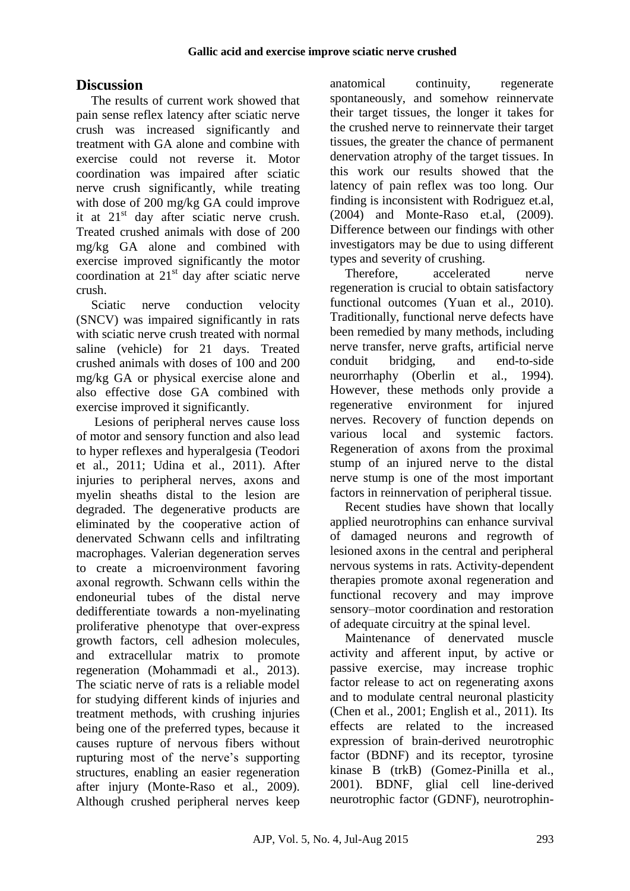# **Discussion**

The results of current work showed that pain sense reflex latency after sciatic nerve crush was increased significantly and treatment with GA alone and combine with exercise could not reverse it. Motor coordination was impaired after sciatic nerve crush significantly, while treating with dose of 200 mg/kg GA could improve it at 21st day after sciatic nerve crush. Treated crushed animals with dose of 200 mg/kg GA alone and combined with exercise improved significantly the motor coordination at  $21<sup>st</sup>$  day after sciatic nerve crush.

Sciatic nerve conduction velocity (SNCV) was impaired significantly in rats with sciatic nerve crush treated with normal saline (vehicle) for 21 days. Treated crushed animals with doses of 100 and 200 mg/kg GA or physical exercise alone and also effective dose GA combined with exercise improved it significantly.

Lesions of peripheral nerves cause loss of motor and sensory function and also lead to hyper reflexes and hyperalgesia [\(Teodori](#page-8-5)  [et al., 2011;](#page-8-5) [Udina et al., 2011\)](#page-8-6). After injuries to peripheral nerves, axons and myelin sheaths distal to the lesion are degraded. The degenerative products are eliminated by the cooperative action of denervated Schwann cells and infiltrating macrophages. Valerian degeneration serves to create a microenvironment favoring axonal regrowth. Schwann cells within the endoneurial tubes of the distal nerve dedifferentiate towards a non-myelinating proliferative phenotype that over-express growth factors, cell adhesion molecules, and extracellular matrix to promote regeneration [\(Mohammadi et al., 2013\)](#page-8-7). The sciatic nerve of rats is a reliable model for studying different kinds of injuries and treatment methods, with crushing injuries being one of the preferred types, because it causes rupture of nervous fibers without rupturing most of the nerve's supporting structures, enabling an easier regeneration after injury [\(Monte-Raso et al., 2009\)](#page-8-8). Although crushed peripheral nerves keep anatomical continuity, regenerate spontaneously, and somehow reinnervate their target tissues, the longer it takes for the crushed nerve to reinnervate their target tissues, the greater the chance of permanent denervation atrophy of the target tissues. In this work our results showed that the latency of pain reflex was too long. Our finding is inconsistent with Rodriguez et.al, (2004) and Monte-Raso et.al, (2009). Difference between our findings with other investigators may be due to using different types and severity of crushing.

Therefore, accelerated nerve regeneration is crucial to obtain satisfactory functional outcomes [\(Yuan et al., 2010\)](#page-9-0). Traditionally, functional nerve defects have been remedied by many methods, including nerve transfer, nerve grafts, artificial nerve conduit bridging, and end-to-side neurorrhaphy [\(Oberlin et al., 1994\)](#page-8-9). However, these methods only provide a regenerative environment for injured nerves. Recovery of function depends on various local and systemic factors. Regeneration of axons from the proximal stump of an injured nerve to the distal nerve stump is one of the most important factors in reinnervation of peripheral tissue.

Recent studies have shown that locally applied neurotrophins can enhance survival of damaged neurons and regrowth of lesioned axons in the central and peripheral nervous systems in rats. Activity-dependent therapies promote axonal regeneration and functional recovery and may improve sensory–motor coordination and restoration of adequate circuitry at the spinal level.

Maintenance of denervated muscle activity and afferent input, by active or passive exercise, may increase trophic factor release to act on regenerating axons and to modulate central neuronal plasticity [\(Chen et al., 2001;](#page-7-7) [English et al., 2011\)](#page-7-6). Its effects are related to the increased expression of brain-derived neurotrophic factor (BDNF) and its receptor, tyrosine kinase B (trkB) [\(Gomez-Pinilla et al.,](#page-7-8)  [2001\)](#page-7-8). BDNF, glial cell line-derived neurotrophic factor (GDNF), neurotrophin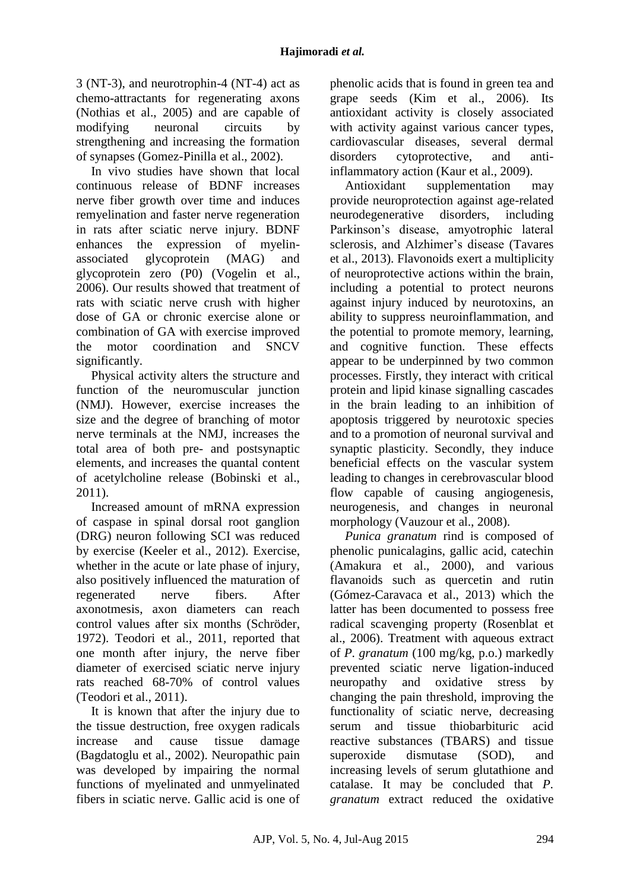3 (NT-3), and neurotrophin-4 (NT-4) act as chemo-attractants for regenerating axons [\(Nothias et al., 2005\)](#page-8-10) and are capable of modifying neuronal circuits by strengthening and increasing the formation of synapses [\(Gomez-Pinilla et al., 2002\)](#page-7-9).

In vivo studies have shown that local continuous release of BDNF increases nerve fiber growth over time and induces remyelination and faster nerve regeneration in rats after sciatic nerve injury. BDNF enhances the expression of myelinassociated glycoprotein (MAG) and glycoprotein zero (P0) [\(Vogelin et al.,](#page-8-11)  [2006\)](#page-8-11). Our results showed that treatment of rats with sciatic nerve crush with higher dose of GA or chronic exercise alone or combination of GA with exercise improved the motor coordination and SNCV significantly.

Physical activity alters the structure and function of the neuromuscular junction (NMJ). However, exercise increases the size and the degree of branching of motor nerve terminals at the NMJ, increases the total area of both pre- and postsynaptic elements, and increases the quantal content of acetylcholine release [\(Bobinski et al.,](#page-7-4)  [2011\)](#page-7-4).

Increased amount of mRNA expression of caspase in spinal dorsal root ganglion (DRG) neuron following SCI was reduced by exercise [\(Keeler et al., 2012\)](#page-7-10). Exercise, whether in the acute or late phase of injury, also positively influenced the maturation of regenerated nerve fibers. After axonotmesis, axon diameters can reach control values after six months [\(Schröder,](#page-8-12)  [1972\)](#page-8-12). [Teodori](http://www.hindawi.com/19470789/) et al., 2011, reported that one month after injury, the nerve fiber diameter of exercised sciatic nerve injury rats reached 68-70% of control values [\(Teodori et al., 2011\)](#page-8-5).

It is known that after the injury due to the tissue destruction, free oxygen radicals increase and cause tissue damage [\(Bagdatoglu et al., 2002\)](#page-7-11). Neuropathic pain was developed by impairing the normal functions of myelinated and unmyelinated fibers in sciatic nerve. Gallic acid is one of phenolic acids that is found in green tea and grape seeds [\(Kim et al., 2006\)](#page-8-13). Its antioxidant activity is closely associated with activity against various cancer types, cardiovascular diseases, several dermal disorders cytoprotective, and antiinflammatory action [\(Kaur et al., 2009\)](#page-7-12).

Antioxidant supplementation may provide neuroprotection against age-related neurodegenerative disorders, including Parkinson's disease, amyotrophic lateral sclerosis, and Alzhimer's disease [\(Tavares](#page-8-14)  [et al., 2013\)](#page-8-14). Flavonoids exert a multiplicity of neuroprotective actions within the brain, including a potential to protect neurons against injury induced by neurotoxins, an ability to suppress neuroinflammation, and the potential to promote memory, learning, and cognitive function. These effects appear to be underpinned by two common processes. Firstly, they interact with critical protein and lipid kinase signalling cascades in the brain leading to an inhibition of apoptosis triggered by neurotoxic species and to a promotion of neuronal survival and synaptic plasticity. Secondly, they induce beneficial effects on the vascular system leading to changes in cerebrovascular blood flow capable of causing angiogenesis, neurogenesis, and changes in neuronal morphology [\(Vauzour et al., 2008\)](#page-8-15).

*Punica granatum* rind is composed of phenolic punicalagins, gallic acid, catechin [\(Amakura et al., 2000\)](#page-7-13), and various flavanoids such as quercetin and rutin [\(Gómez-Caravaca et al., 2013\)](#page-7-14) which the latter has been documented to possess free radical scavenging property [\(Rosenblat et](#page-8-16)  [al., 2006\)](#page-8-16). Treatment with aqueous extract of *P. granatum* (100 mg/kg, p.o.) markedly prevented sciatic nerve ligation-induced neuropathy and oxidative stress by changing the pain threshold, improving the functionality of sciatic nerve, decreasing serum and tissue thiobarbituric acid reactive substances (TBARS) and tissue superoxide dismutase (SOD), and increasing levels of serum glutathione and catalase. It may be concluded that *P. granatum* extract reduced the oxidative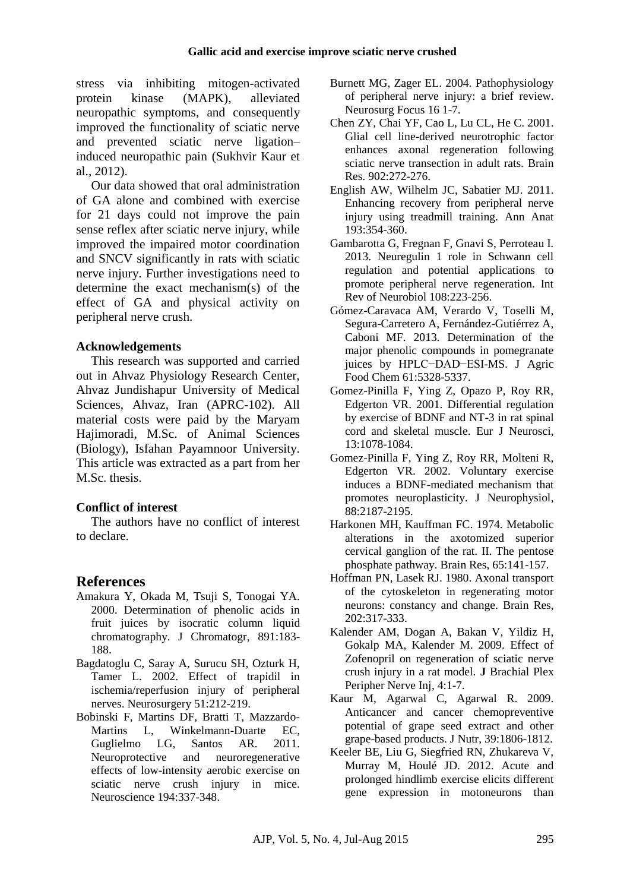stress via inhibiting mitogen-activated protein kinase (MAPK), alleviated neuropathic symptoms, and consequently improved the functionality of sciatic nerve and prevented sciatic nerve ligation– induced neuropathic pain [\(Sukhvir Kaur et](#page-8-17)  [al., 2012\)](#page-8-17).

Our data showed that oral administration of GA alone and combined with exercise for 21 days could not improve the pain sense reflex after sciatic nerve injury, while improved the impaired motor coordination and SNCV significantly in rats with sciatic nerve injury. Further investigations need to determine the exact mechanism(s) of the effect of GA and physical activity on peripheral nerve crush.

### **Acknowledgements**

This research was supported and carried out in Ahvaz Physiology Research Center, Ahvaz Jundishapur University of Medical Sciences, Ahvaz, Iran (APRC-102). All material costs were paid by the Maryam Hajimoradi, M.Sc. of Animal Sciences (Biology), Isfahan Payamnoor University. This article was extracted as a part from her M.Sc. thesis.

## **Conflict of interest**

The authors have no conflict of interest to declare.

# **References**

- <span id="page-7-13"></span>Amakura Y, Okada M, Tsuji S, Tonogai YA. 2000. Determination of phenolic acids in fruit juices by isocratic column liquid chromatography. J Chromatogr, 891:183- 188.
- <span id="page-7-11"></span>Bagdatoglu C, Saray A, Surucu SH, Ozturk H, Tamer L. 2002. Effect of trapidil in ischemia/reperfusion injury of peripheral nerves. Neurosurgery 51:212-219.
- <span id="page-7-4"></span>Bobinski F, Martins DF, Bratti T, Mazzardo-Martins L, Winkelmann-Duarte EC, Guglielmo LG, Santos AR. 2011. Neuroprotective and neuroregenerative effects of low-intensity aerobic exercise on sciatic nerve crush injury in mice. Neuroscience 194:337-348.
- <span id="page-7-0"></span>Burnett MG, Zager EL. 2004. Pathophysiology of peripheral nerve injury: a brief review. Neurosurg Focus 16 1-7.
- <span id="page-7-7"></span>Chen ZY, Chai YF, Cao L, Lu CL, He C. 2001. Glial cell line-derived neurotrophic factor enhances axonal regeneration following sciatic nerve transection in adult rats. Brain Res. 902:272-276.
- <span id="page-7-6"></span>English AW, Wilhelm JC, Sabatier MJ. 2011. Enhancing recovery from peripheral nerve injury using treadmill training. Ann Anat 193:354-360.
- <span id="page-7-3"></span>Gambarotta G, Fregnan F, Gnavi S, Perroteau I. 2013. Neuregulin 1 role in Schwann cell regulation and potential applications to promote peripheral nerve regeneration. Int Rev of Neurobiol 108:223-256.
- <span id="page-7-14"></span>Gómez-Caravaca AM, Verardo V, Toselli M, Segura-Carretero A, Fernández-Gutiérrez A, Caboni MF. 2013. Determination of the major phenolic compounds in pomegranate juices by HPLC−DAD−ESI-MS. J Agric Food Chem 61:5328-5337.
- <span id="page-7-8"></span>Gomez-Pinilla F, Ying Z, Opazo P, Roy RR, Edgerton VR. 2001. Differential regulation by exercise of BDNF and NT-3 in rat spinal cord and skeletal muscle. Eur J Neurosci, 13:1078-1084.
- <span id="page-7-9"></span>Gomez-Pinilla F, Ying Z, Roy RR, Molteni R, Edgerton VR. 2002. Voluntary exercise induces a BDNF-mediated mechanism that promotes neuroplasticity. J Neurophysiol, 88:2187-2195.
- <span id="page-7-1"></span>Harkonen MH, Kauffman FC. 1974. Metabolic alterations in the axotomized superior cervical ganglion of the rat. II. The pentose phosphate pathway. Brain Res, 65:141-157.
- <span id="page-7-2"></span>Hoffman PN, Lasek RJ. 1980. Axonal transport of the cytoskeleton in regenerating motor neurons: constancy and change. Brain Res, 202:317-333.
- <span id="page-7-5"></span>Kalender AM, Dogan A, Bakan V, Yildiz H, Gokalp MA, Kalender M. 2009. Effect of Zofenopril on regeneration of sciatic nerve crush injury in a rat model. **J** Brachial Plex Peripher Nerve Inj, 4:1-7.
- <span id="page-7-12"></span>Kaur M, Agarwal C, Agarwal R. 2009. Anticancer and cancer chemopreventive potential of grape seed extract and other grape-based products. J Nutr, 39:1806-1812.
- <span id="page-7-10"></span>Keeler BE, Liu G, Siegfried RN, Zhukareva V, Murray M, Houlé JD. 2012. Acute and prolonged hindlimb exercise elicits different gene expression in motoneurons than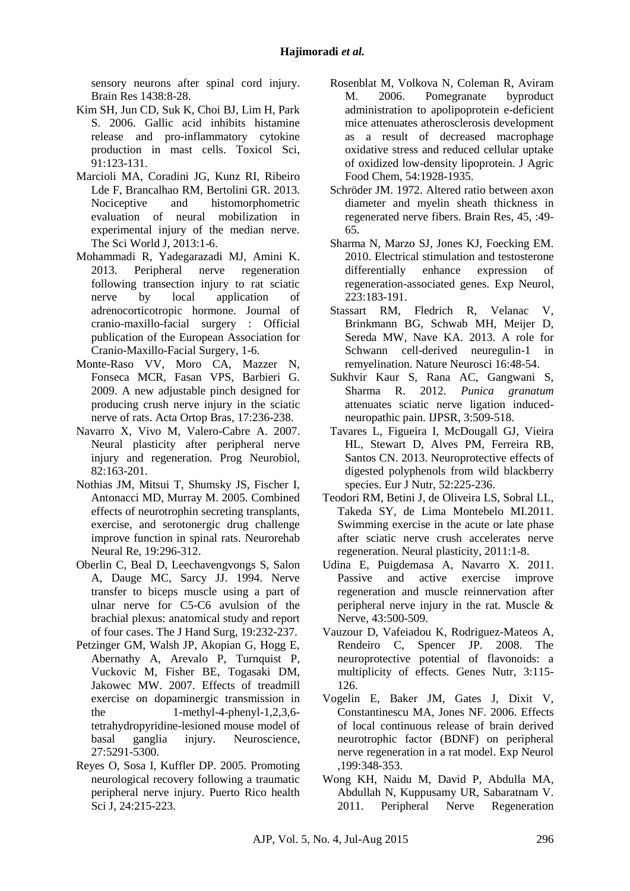sensory neurons after spinal cord injury. Brain Res 1438:8-28.

- <span id="page-8-13"></span>Kim SH, Jun CD, Suk K, Choi BJ, Lim H, Park S. 2006. Gallic acid inhibits histamine release and pro-inflammatory cytokine production in mast cells. Toxicol Sci, 91:123-131.
- Marcioli MA, Coradini JG, Kunz RI, Ribeiro Lde F, Brancalhao RM, Bertolini GR. 2013. Nociceptive and histomorphometric evaluation of neural mobilization in experimental injury of the median nerve. The Sci World J, 2013:1-6.
- <span id="page-8-7"></span>Mohammadi R, Yadegarazadi MJ, Amini K. 2013. Peripheral nerve regeneration following transection injury to rat sciatic nerve by local application of adrenocorticotropic hormone. Journal of cranio-maxillo-facial surgery : Official publication of the European Association for Cranio-Maxillo-Facial Surgery, 1-6.
- <span id="page-8-8"></span>Monte-Raso VV, Moro CA, Mazzer N, Fonseca MCR, Fasan VPS, Barbieri G. 2009. A new adjustable pinch designed for producing crush nerve injury in the sciatic nerve of rats. Acta Ortop Bras, 17:236-238.
- <span id="page-8-2"></span>Navarro X, Vivo M, Valero-Cabre A. 2007. Neural plasticity after peripheral nerve injury and regeneration. Prog Neurobiol, 82:163-201.
- <span id="page-8-10"></span>Nothias JM, Mitsui T, Shumsky JS, Fischer I, Antonacci MD, Murray M. 2005. Combined effects of neurotrophin secreting transplants, exercise, and serotonergic drug challenge improve function in spinal rats. Neurorehab Neural Re, 19:296-312.
- <span id="page-8-9"></span>Oberlin C, Beal D, Leechavengvongs S, Salon A, Dauge MC, Sarcy JJ. 1994. Nerve transfer to biceps muscle using a part of ulnar nerve for C5-C6 avulsion of the brachial plexus: anatomical study and report of four cases. The J Hand Surg, 19:232-237.
- Petzinger GM, Walsh JP, Akopian G, Hogg E, Abernathy A, Arevalo P, Turnquist P, Vuckovic M, Fisher BE, Togasaki DM, Jakowec MW. 2007. Effects of treadmill exercise on dopaminergic transmission in the 1-methyl-4-phenyl-1,2,3,6 tetrahydropyridine-lesioned mouse model of basal ganglia injury. Neuroscience, 27:5291-5300.
- <span id="page-8-1"></span>Reyes O, Sosa I, Kuffler DP. 2005. Promoting neurological recovery following a traumatic peripheral nerve injury. Puerto Rico health Sci J, 24:215-223.
- <span id="page-8-16"></span>Rosenblat M, Volkova N, Coleman R, Aviram M. 2006. Pomegranate byproduct administration to apolipoprotein e-deficient mice attenuates atherosclerosis development as a result of decreased macrophage oxidative stress and reduced cellular uptake of oxidized low-density lipoprotein. J Agric Food Chem, 54:1928-1935.
- <span id="page-8-12"></span>Schröder JM. 1972. Altered ratio between axon diameter and myelin sheath thickness in regenerated nerve fibers. Brain Res, 45, :49- 65.
- <span id="page-8-3"></span>Sharma N, Marzo SJ, Jones KJ, Foecking EM. 2010. Electrical stimulation and testosterone differentially enhance expression of regeneration-associated genes. Exp Neurol, 223:183-191.
- <span id="page-8-4"></span>Stassart RM, Fledrich R, Velanac V, Brinkmann BG, Schwab MH, Meijer D, Sereda MW, Nave KA. 2013. A role for Schwann cell-derived neuregulin-1 in remyelination. Nature Neurosci 16:48-54.
- <span id="page-8-17"></span>Sukhvir Kaur S, Rana AC, Gangwani S, Sharma R. 2012. *Punica granatum*  attenuates sciatic nerve ligation inducedneuropathic pain. IJPSR, 3:509-518.
- <span id="page-8-14"></span>Tavares L, Figueira I, McDougall GJ, Vieira HL, Stewart D, Alves PM, Ferreira RB, Santos CN. 2013. Neuroprotective effects of digested polyphenols from wild blackberry species. Eur J Nutr, 52:225-236.
- <span id="page-8-5"></span>Teodori RM, Betini J, de Oliveira LS, Sobral LL, Takeda SY, de Lima Montebelo MI.2011. Swimming exercise in the acute or late phase after sciatic nerve crush accelerates nerve regeneration. Neural plasticity, 2011:1-8.
- <span id="page-8-6"></span>Udina E, Puigdemasa A, Navarro X. 2011. Passive and active exercise improve regeneration and muscle reinnervation after peripheral nerve injury in the rat. Muscle & Nerve, 43:500-509.
- <span id="page-8-15"></span>Vauzour D, Vafeiadou K, Rodriguez-Mateos A, Rendeiro C, Spencer JP. 2008. The neuroprotective potential of flavonoids: a multiplicity of effects. Genes Nutr, 3:115- 126.
- <span id="page-8-11"></span>Vogelin E, Baker JM, Gates J, Dixit V, Constantinescu MA, Jones NF. 2006. Effects of local continuous release of brain derived neurotrophic factor (BDNF) on peripheral nerve regeneration in a rat model. Exp Neurol ,199:348-353.
- <span id="page-8-0"></span>Wong KH, Naidu M, David P, Abdulla MA, Abdullah N, Kuppusamy UR, Sabaratnam V. 2011. Peripheral Nerve Regeneration